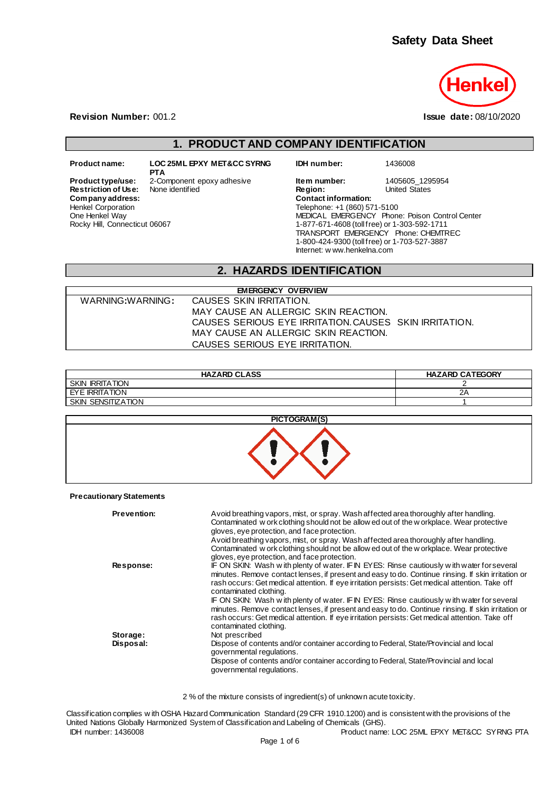

**Revision Number:** 001.2 **Issue date:** 08/10/2020

## **1. PRODUCT AND COMPANY IDENTIFICATION**

 $Company address:$ Henkel Corporation One Henkel Way

Rocky Hill, Connecticut 06067

**Product name: LOC 25ML EPXY MET&CC SYRNG PTA**

**IDH number:** 1436008

**Product type/use:** 2-Component epoxy adhesive **Item number:** 1405605\_1295954<br> **Restriction of Use:** None identified **Integral Product Product Authority** Chrited States **Restriction of Use:** None identified **Region:** Region: **Region:** Company address: Company address: Telephone: +1 (860) 571-5100 MEDICAL EMERGENCY Phone: Poison Control Center 1-877-671-4608 (toll free) or 1-303-592-1711 TRANSPORT EMERGENCY Phone: CHEMTREC 1-800-424-9300 (toll free) or 1-703-527-3887 Internet: w ww.henkelna.com

### **2. HAZARDS IDENTIFICATION**

| <b>EMERGENCY OVERVIEW</b> |                                                       |  |  |  |
|---------------------------|-------------------------------------------------------|--|--|--|
| WARNING:WARNING:          | CAUSES SKIN IRRITATION.                               |  |  |  |
|                           | MAY CAUSE AN ALLERGIC SKIN REACTION.                  |  |  |  |
|                           | CAUSES SERIOUS EYE IRRITATION CAUSES SKIN IRRITATION. |  |  |  |
|                           | MAY CAUSE AN ALLERGIC SKIN REACTION.                  |  |  |  |
|                           | CAUSES SERIOUS EYE IRRITATION.                        |  |  |  |

| <b>HAZARD CLASS</b>                 | <b>HAZARD CATEGORY</b> |
|-------------------------------------|------------------------|
| <b>SKIN</b><br><b>IRRITATION</b>    |                        |
| EYE IRRITATION                      | ZΡ                     |
| <b>SENSITIZATION</b><br><b>SKIN</b> |                        |



**Precautionary Statements**

| <b>Prevention:</b> | Avoid breathing vapors, mist, or spray. Wash affected area thoroughly after handling.<br>Contaminated w ork clothing should not be allow ed out of the w orkplace. Wear protective<br>gloves, eye protection, and face protection.                                                                                            |
|--------------------|-------------------------------------------------------------------------------------------------------------------------------------------------------------------------------------------------------------------------------------------------------------------------------------------------------------------------------|
|                    | Avoid breathing vapors, mist, or spray. Wash affected area thoroughly after handling.<br>Contaminated w ork clothing should not be allow ed out of the w orkplace. Wear protective<br>gloves, eye protection, and face protection.                                                                                            |
| Response:          | IF ON SKIN: Wash with plenty of water. IFIN EYES: Rinse cautiously with water for several<br>minutes. Remove contact lenses, if present and easy to do. Continue rinsing. If skin irritation or<br>rash occurs: Get medical attention. If eye irritation persists: Get medical attention. Take off<br>contaminated clothing.  |
|                    | IF ON SKIN: Wash with plenty of water. IF IN EYES: Rinse cautiously with water for several<br>minutes. Remove contact lenses, if present and easy to do. Continue rinsing. If skin irritation or<br>rash occurs: Get medical attention. If eye irritation persists: Get medical attention. Take off<br>contaminated clothing. |
| Storage:           | Not prescribed                                                                                                                                                                                                                                                                                                                |
| Disposal:          | Dispose of contents and/or container according to Federal, State/Provincial and local<br>governmental regulations.                                                                                                                                                                                                            |
|                    | Dispose of contents and/or container according to Federal, State/Provincial and local<br>governmental regulations.                                                                                                                                                                                                            |

2 % of the mixture consists of ingredient(s) of unknown acute toxicity.

IDH number: 1436008 Product name: LOC 25ML EPXY MET&CC SYRNG PTA Classification complies w ith OSHA Hazard Communication Standard (29 CFR 1910.1200) and is consistent with the provisions of the United Nations Globally Harmonized System of Classification and Labeling of Chemicals (GHS).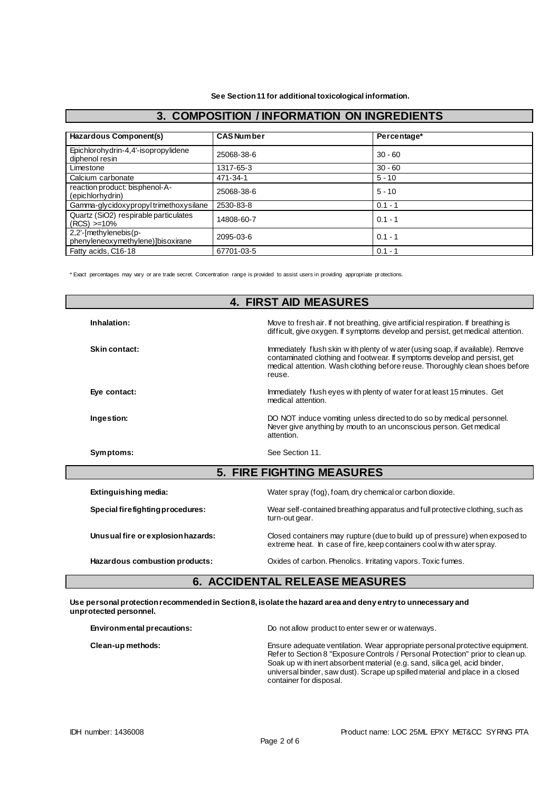| 3. COMFOSITION / INFORMATION ON INGREDIENTS                |                   |             |  |
|------------------------------------------------------------|-------------------|-------------|--|
|                                                            |                   |             |  |
| Hazardous Component(s)                                     | <b>CAS Number</b> | Percentage* |  |
| Epichlorohydrin-4,4'-isopropylidene<br>diphenol resin      | 25068-38-6        | $30 - 60$   |  |
| Limestone                                                  | 1317-65-3         | $30 - 60$   |  |
| Calcium carbonate                                          | 471-34-1          | $5 - 10$    |  |
| reaction product: bisphenol-A-<br>(epichlorhydrin)         | 25068-38-6        | $5 - 10$    |  |
| Gamma-glycidoxypropyltrimethoxysilane                      | 2530-83-8         | $0.1 - 1$   |  |
| Quartz (SiO2) respirable particulates<br>$(RCS) > = 10\%$  | 14808-60-7        | $0.1 - 1$   |  |
| 2,2'-[methylenebis(p-<br>phenyleneoxymethylene)]bisoxirane | 2095-03-6         | $0.1 - 1$   |  |
| Fatty acids, C16-18                                        | 67701-03-5        | $0.1 - 1$   |  |

## **3. COMPOSITION / INFORMATION ON INGREDIENTS**

\* Exact percentages may vary or are trade secret. Concentration range is provided to assist users in providing appropriate pr otections.

| <b>4. FIRST AID MEASURES</b>       |                                                                                                                                                                                                                                                        |  |
|------------------------------------|--------------------------------------------------------------------------------------------------------------------------------------------------------------------------------------------------------------------------------------------------------|--|
| Inhalation:                        | Move to fresh air. If not breathing, give artificial respiration. If breathing is<br>difficult, give oxygen. If symptoms develop and persist, get medical attention.                                                                                   |  |
| Skin contact:                      | Immediately flush skin w ith plenty of w ater (using soap, if available). Remove<br>contaminated clothing and footwear. If symptoms develop and persist, get<br>medical attention. Wash clothing before reuse. Thoroughly clean shoes before<br>reuse. |  |
| Eye contact:                       | Immediately flush eyes with plenty of water for at least 15 minutes. Get<br>medical attention.                                                                                                                                                         |  |
| Ingestion:                         | DO NOT induce vomiting unless directed to do so by medical personnel.<br>Never give anything by mouth to an unconscious person. Get medical<br>attention.                                                                                              |  |
| Symptoms:                          | See Section 11.                                                                                                                                                                                                                                        |  |
|                                    | <b>5. FIRE FIGHTING MEASURES</b>                                                                                                                                                                                                                       |  |
| Extinguishing media:               | Water spray (fog), foam, dry chemical or carbon dioxide.                                                                                                                                                                                               |  |
| Special firefighting procedures:   | Wear self-contained breathing apparatus and full protective clothing, such as<br>turn-out gear.                                                                                                                                                        |  |
| Unusual fire or explosion hazards: | Closed containers may rupture (due to build up of pressure) when exposed to<br>extreme heat. In case of fire, keep containers cool with waterspray.                                                                                                    |  |
| Hazardous combustion products:     | Oxides of carbon. Phenolics. Irritating vapors. Toxic fumes.                                                                                                                                                                                           |  |

### **Use personal protection recommended in Section 8, isolate the hazard area and deny entry to unnecessary and unprotected personnel.**

| Environmental precautions: | Do not allow product to enter sew er or waterways.                                                                                                                                                                                                                                                                                                        |
|----------------------------|-----------------------------------------------------------------------------------------------------------------------------------------------------------------------------------------------------------------------------------------------------------------------------------------------------------------------------------------------------------|
| Clean-up methods:          | Ensure adequate ventilation. Wear appropriate personal protective equipment.<br>Refer to Section 8 "Exposure Controls / Personal Protection" prior to clean up.<br>Soak up with inert absorbent material (e.g. sand, silica gel, acid binder,<br>universal binder, saw dust). Scrape up spilled material and place in a closed<br>container for disposal. |

Г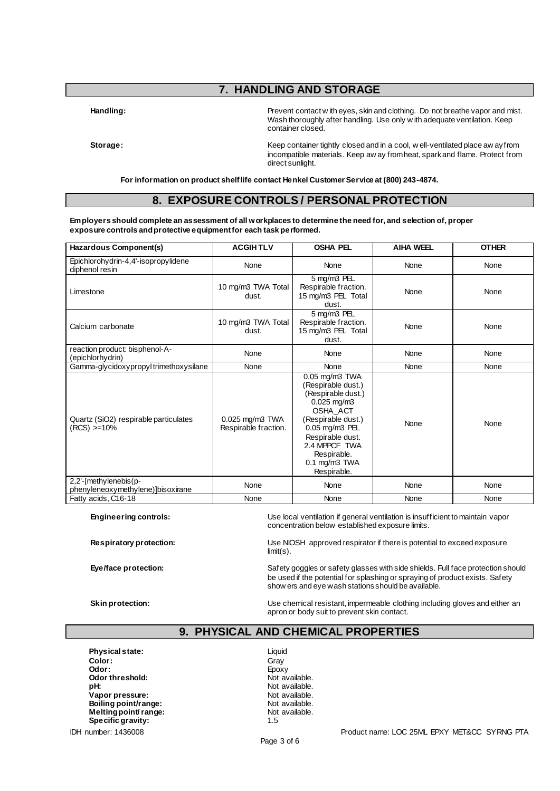# **7. HANDLING AND STORAGE**

Handling: **Handling:** Prevent contact w ith eyes, skin and clothing. Do not breathe vapor and mist. Wash thoroughly after handling. Use only w ith adequate ventilation. Keep container closed.

**Storage:** Keep container tightly closed and in a cool, well-ventilated place aw ay from incompatible materials. Keep aw ay from heat, spark and flame. Protect from direct sunlight.

**For information on product shelf life contact Henkel Customer Service at (800) 243-4874.**

### **8. EXPOSURE CONTROLS / PERSONAL PROTECTION**

**Employers should complete an assessment of all workplaces to determine the need for, and selection of, proper exposure controls and protective equipment for each task performed.**

| Hazardous Component(s)                                     | <b>ACGIHTLV</b>                         | <b>OSHA PEL</b>                                                                                                                                                                                                               | <b>AIHA WEEL</b> | <b>OTHER</b> |
|------------------------------------------------------------|-----------------------------------------|-------------------------------------------------------------------------------------------------------------------------------------------------------------------------------------------------------------------------------|------------------|--------------|
| Epichlorohydrin-4,4'-isopropylidene<br>diphenol resin      | None                                    | None                                                                                                                                                                                                                          | None             | None         |
| Limestone                                                  | 10 mg/m3 TWA Total<br>dust.             | 5 mg/m3 PEL<br>Respirable fraction.<br>15 mg/m3 PEL Total<br>dust.                                                                                                                                                            | None             | None         |
| Calcium carbonate                                          | 10 mg/m3 TWA Total<br>dust.             | 5 mg/m3 PEL<br>Respirable fraction.<br>15 mg/m3 PEL Total<br>dust.                                                                                                                                                            | None             | None         |
| reaction product: bisphenol-A-<br>(epichlorhydrin)         | None                                    | None                                                                                                                                                                                                                          | None             | None         |
| Gamma-glycidoxypropyltrimethoxysilane                      | None                                    | None                                                                                                                                                                                                                          | None             | None         |
| Quartz (SiO2) respirable particulates<br>(RCS) >=10%       | 0.025 mg/m3 TWA<br>Respirable fraction. | $0.05$ mg/m $3$ TWA<br>(Respirable dust.)<br>(Respirable dust.)<br>$0.025$ mg/m3<br>OSHA ACT<br>(Respirable dust.)<br>0.05 mg/m3 PEL<br>Respirable dust.<br>2.4 MPPCF TWA<br>Respirable.<br>$0.1$ mg/m $3$ TWA<br>Respirable. | None             | None         |
| 2,2'-[methylenebis(p-<br>phenyleneoxymethylene)]bisoxirane | None                                    | None                                                                                                                                                                                                                          | None             | None         |
| Fatty acids, C16-18                                        | None                                    | None                                                                                                                                                                                                                          | None             | None         |

**Engineering controls:** Use local ventilation if general ventilation is insufficient to maintain vapor concentration below established exposure limits.

**Respiratory protection:** Use NIOSH approved respirator if there is potential to exceed exposure limit(s).

**Eye/face protection:** Safety goggles or safety glasses with side shields. Full face protection should be used if the potential for splashing or spraying of product exists. Safety show ers and eye wash stations should be available.

**Skin protection:** Use chemical resistant, impermeable clothing including gloves and either an apron or body suit to prevent skin contact.

## **9. PHYSICAL AND CHEMICAL PROPERTIES**

**Physical state:** Liquid **Color:** Gray **Odor:** Epoxy<br> **Odor threshold:** Container and Container and Container and Container and Container and Container and Container<br> **Odor threshold:** Container and Container and Container and Container and Container and Contai **Odor threshold:**<br>pH: **Vapor pressure:** Not available.<br> **Boiling point/range:** Not available. **Boiling point/range:** Not available.<br> **Melting point/range:** Not available. **Melting point/ range:** Not available. Not apply not a Not available.<br>Specific gravity: 1.5 **Specific gravity:** 

Not available.<br>Not available.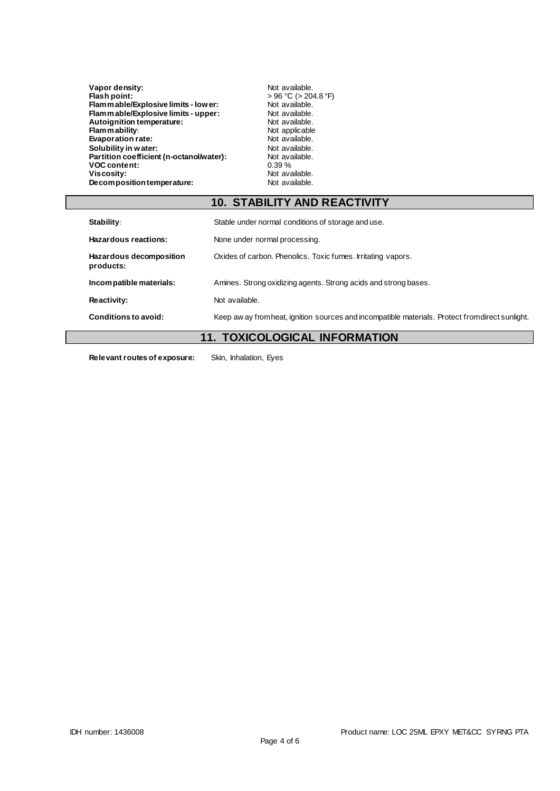| Vapor density:                           | Not available.             |
|------------------------------------------|----------------------------|
| Flash point:                             | $> 96 °C$ ( $> 204.8 °F$ ) |
| Flam mable/Explosive limits - lower:     | Not available.             |
| Flam mable/Explosive limits - upper:     | Not available.             |
| Autoignition temperature:                | Not available.             |
| <b>Flammability:</b>                     | Not applicable             |
| <b>Evaporation rate:</b>                 | Not available.             |
| Solubility in water:                     | Not available.             |
| Partition coefficient (n-octanol/water): | Not available.             |
| <b>VOC content:</b>                      | 0.39%                      |
| Viscosity:                               | Not available.             |
| Decomposition temperature:               | Not available.             |
|                                          |                            |

# **10. STABILITY AND REACTIVITY**

| Stability:                           | Stable under normal conditions of storage and use.                                               |
|--------------------------------------|--------------------------------------------------------------------------------------------------|
| Hazardous reactions:                 | None under normal processing.                                                                    |
| Hazardous decomposition<br>products: | Oxides of carbon. Phenolics. Toxic fumes. Irritating vapors.                                     |
| Incompatible materials:              | Amines. Strong oxidizing agents. Strong acids and strong bases.                                  |
| Reactivity:                          | Not available.                                                                                   |
| Conditions to avoid:                 | Keep aw ay from heat, ignition sources and incompatible materials. Protect from direct sunlight. |
| . .                                  | ------------                                                                                     |

## **11. TOXICOLOGICAL INFORMATION**

**Relevant routes of exposure:** Skin, Inhalation, Eyes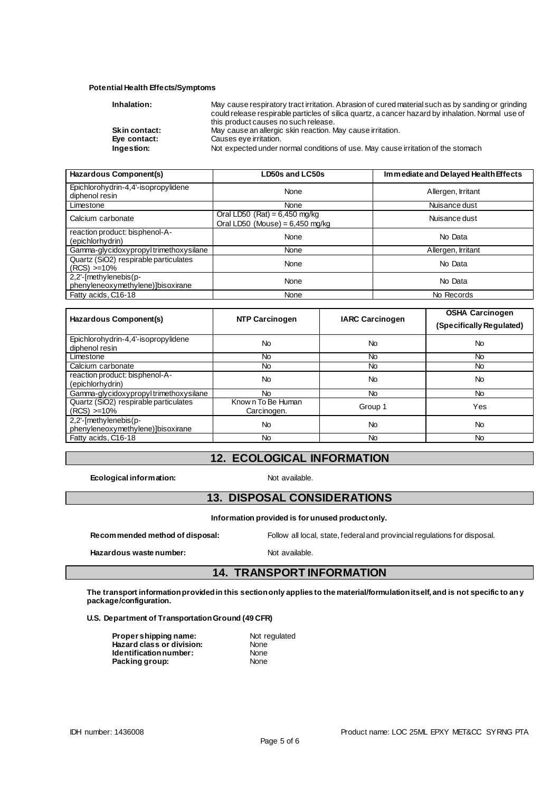#### **Potential Health Effects/Symptoms**

| Inhalation:          | May cause respiratory tract irritation. Abrasion of cured material such as by sanding or grinding |
|----------------------|---------------------------------------------------------------------------------------------------|
|                      | could release respirable particles of silica quartz, a cancer hazard by inhalation. Normal use of |
|                      | this product causes no such release.                                                              |
| <b>Skin contact:</b> | May cause an allergic skin reaction. May cause irritation.                                        |
| Eye contact:         | Causes eye irritation.                                                                            |
| Ingestion:           | Not expected under normal conditions of use. May cause irritation of the stomach                  |

| Hazardous Component(s)                                     | LD50s and LC50s                                                      | Immediate and Delayed Health Effects |  |
|------------------------------------------------------------|----------------------------------------------------------------------|--------------------------------------|--|
| Epichlorohydrin-4,4'-isopropylidene<br>diphenol resin      | None                                                                 | Allergen, Irritant                   |  |
| Limestone                                                  | None                                                                 | Nuisance dust                        |  |
| Calcium carbonate                                          | Oral LD50 (Rat) = $6,450$ mg/kg<br>Oral LD50 (Mouse) = $6,450$ mg/kg | Nuisance dust                        |  |
| reaction product: bisphenol-A-<br>(epichlorhydrin)         | None                                                                 | No Data                              |  |
| Gamma-glycidoxypropyltrimethoxysilane                      | None                                                                 | Allergen, Irritant                   |  |
| Quartz (SiO2) respirable particulates<br>$(RCS) > = 10\%$  | None                                                                 | No Data                              |  |
| 2,2'-[methylenebis(p-<br>phenyleneoxymethylene)]bisoxirane | None                                                                 | No Data                              |  |
| Fatty acids, C16-18                                        | None                                                                 | No Records                           |  |

| Hazardous Component(s)                                     | NTP Carcinogen                    | <b>IARC Carcinogen</b> | <b>OSHA Carcinogen</b><br>(Specifically Regulated) |
|------------------------------------------------------------|-----------------------------------|------------------------|----------------------------------------------------|
| Epichlorohydrin-4,4'-isopropylidene<br>diphenol resin      | <b>No</b>                         | <b>No</b>              | <b>No</b>                                          |
| Limestone                                                  | <b>No</b>                         | <b>No</b>              | <b>No</b>                                          |
| Calcium carbonate                                          | No.                               | No.                    | No.                                                |
| reaction product: bisphenol-A-<br>(epichlorhydrin)         | <b>No</b>                         | <b>No</b>              | <b>No</b>                                          |
| Gamma-glycidoxypropyltrimethoxysilane                      | No.                               | <b>No</b>              | <b>No</b>                                          |
| Quartz (SiO2) respirable particulates<br>$(RCS) > 10\%$    | Know n To Be Human<br>Carcinogen. | Group 1                | Yes                                                |
| 2,2'-[methylenebis(p-<br>phenyleneoxymethylene)]bisoxirane | <b>No</b>                         | <b>No</b>              | <b>No</b>                                          |
| Fatty acids, C16-18                                        | No.                               | <b>No</b>              | No.                                                |

# **12. ECOLOGICAL INFORMATION**

**Ecological information:** Not available.

## **13. DISPOSAL CONSIDERATIONS**

**Information provided is for unused product only.**

Hazardous waste number: Not available.

**Recommended method of disposal:** Follow all local, state, federal and provincial regulations for disposal.

**14. TRANSPORT INFORMATION**

#### **The transport information provided in this section only applies to the material/formulation itself, and is not specific to any package/configuration.**

**U.S. Department of Transportation Ground (49 CFR)**

| Propershipping name:      | Not r |
|---------------------------|-------|
| Hazard class or division: | None  |
| ldentification number:    | None  |
| Packing group:            | None  |

**Not regulated**<br>None **None Packing group:** None